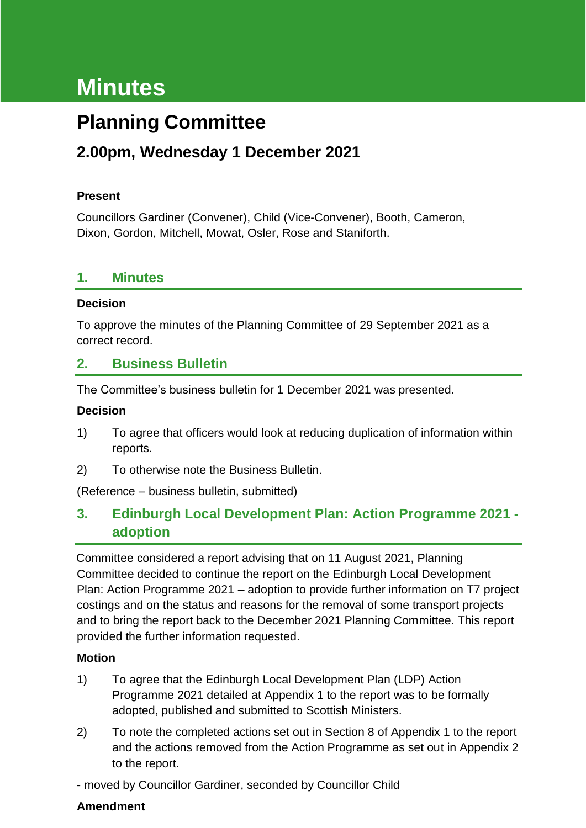# **Minutes**

## **Planning Committee**

## **2.00pm, Wednesday 1 December 2021**

#### **Present**

Councillors Gardiner (Convener), Child (Vice-Convener), Booth, Cameron, Dixon, Gordon, Mitchell, Mowat, Osler, Rose and Staniforth.

#### **1. Minutes**

#### **Decision**

To approve the minutes of the Planning Committee of 29 September 2021 as a correct record.

#### **2. Business Bulletin**

The Committee's business bulletin for 1 December 2021 was presented.

#### **Decision**

- 1) To agree that officers would look at reducing duplication of information within reports.
- 2) To otherwise note the Business Bulletin.

(Reference – business bulletin, submitted)

#### **3. Edinburgh Local Development Plan: Action Programme 2021 adoption**

Committee considered a report advising that on 11 August 2021, Planning Committee decided to continue the report on the Edinburgh Local Development Plan: Action Programme 2021 – adoption to provide further information on T7 project costings and on the status and reasons for the removal of some transport projects and to bring the report back to the December 2021 Planning Committee. This report provided the further information requested.

#### **Motion**

- 1) To agree that the Edinburgh Local Development Plan (LDP) Action Programme 2021 detailed at Appendix 1 to the report was to be formally adopted, published and submitted to Scottish Ministers.
- 2) To note the completed actions set out in Section 8 of Appendix 1 to the report and the actions removed from the Action Programme as set out in Appendix 2 to the report.

- moved by Councillor Gardiner, seconded by Councillor Child

#### **Amendment**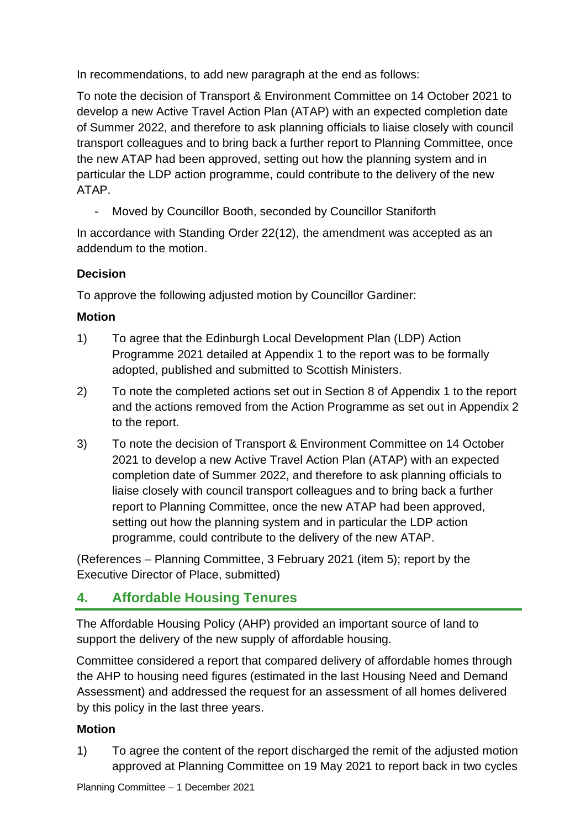In recommendations, to add new paragraph at the end as follows:

To note the decision of Transport & Environment Committee on 14 October 2021 to develop a new Active Travel Action Plan (ATAP) with an expected completion date of Summer 2022, and therefore to ask planning officials to liaise closely with council transport colleagues and to bring back a further report to Planning Committee, once the new ATAP had been approved, setting out how the planning system and in particular the LDP action programme, could contribute to the delivery of the new ATAP.

- Moved by Councillor Booth, seconded by Councillor Staniforth

In accordance with Standing Order 22(12), the amendment was accepted as an addendum to the motion.

#### **Decision**

To approve the following adjusted motion by Councillor Gardiner:

#### **Motion**

- 1) To agree that the Edinburgh Local Development Plan (LDP) Action Programme 2021 detailed at Appendix 1 to the report was to be formally adopted, published and submitted to Scottish Ministers.
- 2) To note the completed actions set out in Section 8 of Appendix 1 to the report and the actions removed from the Action Programme as set out in Appendix 2 to the report.
- 3) To note the decision of Transport & Environment Committee on 14 October 2021 to develop a new Active Travel Action Plan (ATAP) with an expected completion date of Summer 2022, and therefore to ask planning officials to liaise closely with council transport colleagues and to bring back a further report to Planning Committee, once the new ATAP had been approved, setting out how the planning system and in particular the LDP action programme, could contribute to the delivery of the new ATAP.

(References – Planning Committee, 3 February 2021 (item 5); report by the Executive Director of Place, submitted)

## **4. Affordable Housing Tenures**

The Affordable Housing Policy (AHP) provided an important source of land to support the delivery of the new supply of affordable housing.

Committee considered a report that compared delivery of affordable homes through the AHP to housing need figures (estimated in the last Housing Need and Demand Assessment) and addressed the request for an assessment of all homes delivered by this policy in the last three years.

#### **Motion**

1) To agree the content of the report discharged the remit of the adjusted motion approved at Planning Committee on 19 May 2021 to report back in two cycles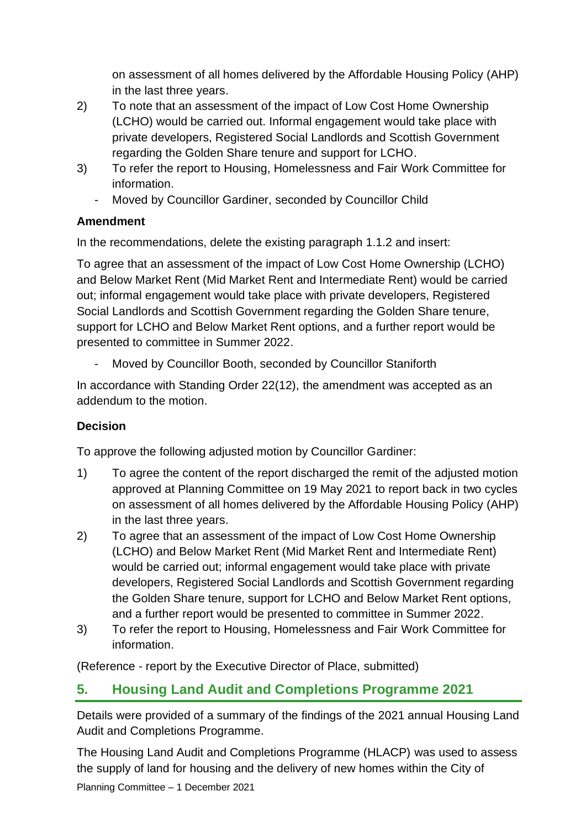on assessment of all homes delivered by the Affordable Housing Policy (AHP) in the last three years.

- 2) To note that an assessment of the impact of Low Cost Home Ownership (LCHO) would be carried out. Informal engagement would take place with private developers, Registered Social Landlords and Scottish Government regarding the Golden Share tenure and support for LCHO.
- 3) To refer the report to Housing, Homelessness and Fair Work Committee for information.
	- Moved by Councillor Gardiner, seconded by Councillor Child

#### **Amendment**

In the recommendations, delete the existing paragraph 1.1.2 and insert:

To agree that an assessment of the impact of Low Cost Home Ownership (LCHO) and Below Market Rent (Mid Market Rent and Intermediate Rent) would be carried out; informal engagement would take place with private developers, Registered Social Landlords and Scottish Government regarding the Golden Share tenure, support for LCHO and Below Market Rent options, and a further report would be presented to committee in Summer 2022.

Moved by Councillor Booth, seconded by Councillor Staniforth

In accordance with Standing Order 22(12), the amendment was accepted as an addendum to the motion.

#### **Decision**

To approve the following adjusted motion by Councillor Gardiner:

- 1) To agree the content of the report discharged the remit of the adjusted motion approved at Planning Committee on 19 May 2021 to report back in two cycles on assessment of all homes delivered by the Affordable Housing Policy (AHP) in the last three years.
- 2) To agree that an assessment of the impact of Low Cost Home Ownership (LCHO) and Below Market Rent (Mid Market Rent and Intermediate Rent) would be carried out; informal engagement would take place with private developers, Registered Social Landlords and Scottish Government regarding the Golden Share tenure, support for LCHO and Below Market Rent options, and a further report would be presented to committee in Summer 2022.
- 3) To refer the report to Housing, Homelessness and Fair Work Committee for information.

(Reference - report by the Executive Director of Place, submitted)

## **5. Housing Land Audit and Completions Programme 2021**

Details were provided of a summary of the findings of the 2021 annual Housing Land Audit and Completions Programme.

The Housing Land Audit and Completions Programme (HLACP) was used to assess the supply of land for housing and the delivery of new homes within the City of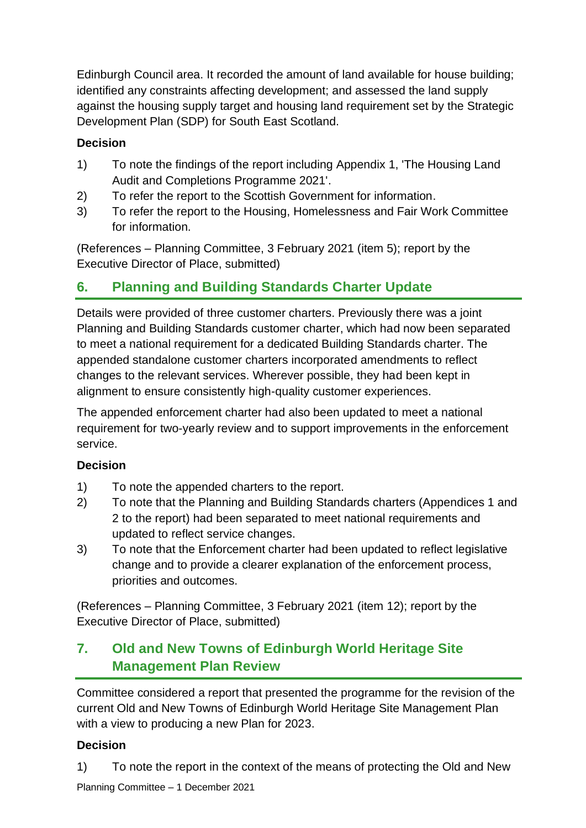Edinburgh Council area. It recorded the amount of land available for house building; identified any constraints affecting development; and assessed the land supply against the housing supply target and housing land requirement set by the Strategic Development Plan (SDP) for South East Scotland.

#### **Decision**

- 1) To note the findings of the report including Appendix 1, 'The Housing Land Audit and Completions Programme 2021'.
- 2) To refer the report to the Scottish Government for information.
- 3) To refer the report to the Housing, Homelessness and Fair Work Committee for information.

(References – Planning Committee, 3 February 2021 (item 5); report by the Executive Director of Place, submitted)

## **6. Planning and Building Standards Charter Update**

Details were provided of three customer charters. Previously there was a joint Planning and Building Standards customer charter, which had now been separated to meet a national requirement for a dedicated Building Standards charter. The appended standalone customer charters incorporated amendments to reflect changes to the relevant services. Wherever possible, they had been kept in alignment to ensure consistently high-quality customer experiences.

The appended enforcement charter had also been updated to meet a national requirement for two-yearly review and to support improvements in the enforcement service.

#### **Decision**

- 1) To note the appended charters to the report.
- 2) To note that the Planning and Building Standards charters (Appendices 1 and 2 to the report) had been separated to meet national requirements and updated to reflect service changes.
- 3) To note that the Enforcement charter had been updated to reflect legislative change and to provide a clearer explanation of the enforcement process, priorities and outcomes.

(References – Planning Committee, 3 February 2021 (item 12); report by the Executive Director of Place, submitted)

## **7. Old and New Towns of Edinburgh World Heritage Site Management Plan Review**

Committee considered a report that presented the programme for the revision of the current Old and New Towns of Edinburgh World Heritage Site Management Plan with a view to producing a new Plan for 2023.

#### **Decision**

1) To note the report in the context of the means of protecting the Old and New